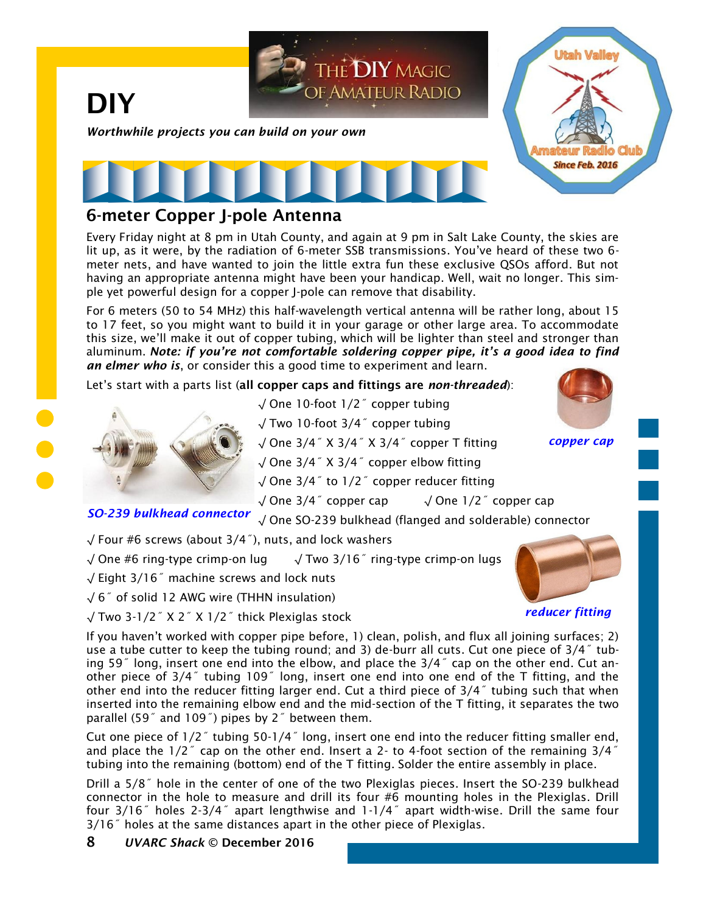

## **6-meter Copper J-pole Antenna**

Every Friday night at 8 pm in Utah County, and again at 9 pm in Salt Lake County, the skies are lit up, as it were, by the radiation of 6-meter SSB transmissions. You've heard of these two 6 meter nets, and have wanted to join the little extra fun these exclusive QSOs afford. But not having an appropriate antenna might have been your handicap. Well, wait no longer. This simple yet powerful design for a copper J-pole can remove that disability.

For 6 meters (50 to 54 MHz) this half-wavelength vertical antenna will be rather long, about 15 to 17 feet, so you might want to build it in your garage or other large area. To accommodate this size, we'll make it out of copper tubing, which will be lighter than steel and stronger than aluminum. *Note: if you're not comfortable soldering copper pipe, it's a good idea to find an elmer who is*, or consider this a good time to experiment and learn.

Let's start with a parts list (**all copper caps and fittings are** *non-threaded*):



√ One 10-foot 1/2˝ copper tubing

√ Two 10-foot 3/4˝ copper tubing

√ One 3/4˝ X 3/4˝ X 3/4˝ copper T fitting

√ One 3/4˝ X 3/4˝ copper elbow fitting

√ One 3/4˝ to 1/2˝ copper reducer fitting

√ One 3/4˝ copper cap √ One 1/2˝ copper cap

**SO-239 bulkhead connector** √ One SO-239 bulkhead (flanged and solderable) connector

√ Four #6 screws (about 3/4˝), nuts, and lock washers

√ One #6 ring-type crimp-on lug √ Two 3/16˝ ring-type crimp-on lugs

√ Eight 3/16˝ machine screws and lock nuts

√ 6˝ of solid 12 AWG wire (THHN insulation)

√ Two 3-1/2˝ X 2˝ X 1/2˝ thick Plexiglas stock



*copper cap*

*reducer fitting*

If you haven't worked with copper pipe before, 1) clean, polish, and flux all joining surfaces; 2) use a tube cutter to keep the tubing round; and 3) de-burr all cuts. Cut one piece of 3/4˝ tubing 59˝ long, insert one end into the elbow, and place the 3/4˝ cap on the other end. Cut another piece of 3/4˝ tubing 109˝ long, insert one end into one end of the T fitting, and the other end into the reducer fitting larger end. Cut a third piece of 3/4˝ tubing such that when inserted into the remaining elbow end and the mid-section of the T fitting, it separates the two parallel (59˝ and 109˝) pipes by 2˝ between them.

Cut one piece of 1/2˝ tubing 50-1/4˝ long, insert one end into the reducer fitting smaller end, and place the  $1/2$ <sup>"</sup> cap on the other end. Insert a 2- to 4-foot section of the remaining  $3/4$ <sup>"</sup> tubing into the remaining (bottom) end of the T fitting. Solder the entire assembly in place.

Drill a 5/8˝ hole in the center of one of the two Plexiglas pieces. Insert the SO-239 bulkhead connector in the hole to measure and drill its four #6 mounting holes in the Plexiglas. Drill four 3/16˝ holes 2-3/4˝ apart lengthwise and 1-1/4˝ apart width-wise. Drill the same four 3/16˝ holes at the same distances apart in the other piece of Plexiglas.

**8** *UVARC Shack* **© December 2016**